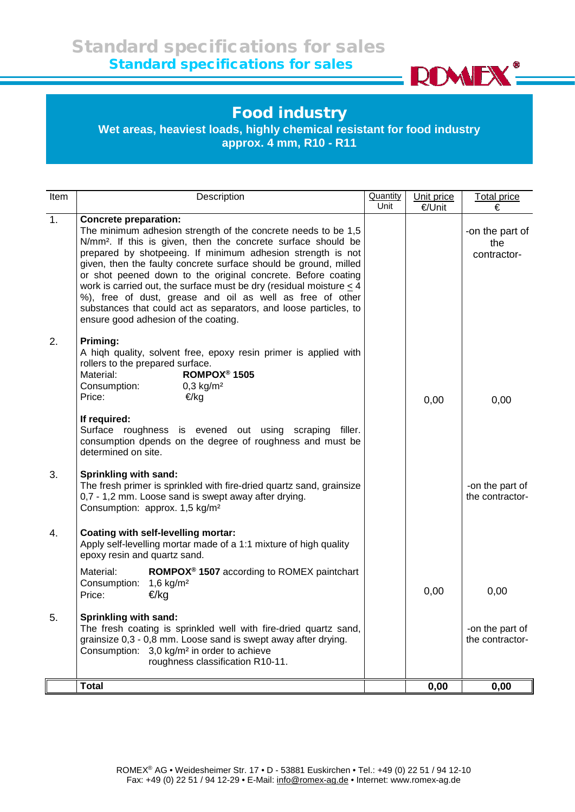

## Food industry

**Wet areas, heaviest loads, highly chemical resistant for food industry approx. 4 mm, R10 - R11**

| Item | Description                                                                                                                                                                                                                                                                                                                                                                                                                                                                                                                                                                                                                        | <b>Quantity</b><br>Unit | Unit price<br>€/Unit | <b>Total price</b><br>€               |
|------|------------------------------------------------------------------------------------------------------------------------------------------------------------------------------------------------------------------------------------------------------------------------------------------------------------------------------------------------------------------------------------------------------------------------------------------------------------------------------------------------------------------------------------------------------------------------------------------------------------------------------------|-------------------------|----------------------|---------------------------------------|
| 1.   | <b>Concrete preparation:</b><br>The minimum adhesion strength of the concrete needs to be 1,5<br>N/mm <sup>2</sup> . If this is given, then the concrete surface should be<br>prepared by shotpeeing. If minimum adhesion strength is not<br>given, then the faulty concrete surface should be ground, milled<br>or shot peened down to the original concrete. Before coating<br>work is carried out, the surface must be dry (residual moisture $\leq$ 4<br>%), free of dust, grease and oil as well as free of other<br>substances that could act as separators, and loose particles, to<br>ensure good adhesion of the coating. |                         |                      | -on the part of<br>the<br>contractor- |
| 2.   | Priming:<br>A high quality, solvent free, epoxy resin primer is applied with<br>rollers to the prepared surface.<br>ROMPOX <sup>®</sup> 1505<br>Material:<br>Consumption:<br>$0,3$ kg/m <sup>2</sup><br>Price:<br>€/kg<br>If required:                                                                                                                                                                                                                                                                                                                                                                                             |                         | 0,00                 | 0,00                                  |
|      | Surface roughness is evened out using scraping filler.<br>consumption dpends on the degree of roughness and must be<br>determined on site.                                                                                                                                                                                                                                                                                                                                                                                                                                                                                         |                         |                      |                                       |
| 3.   | <b>Sprinkling with sand:</b><br>The fresh primer is sprinkled with fire-dried quartz sand, grainsize<br>0,7 - 1,2 mm. Loose sand is swept away after drying.<br>Consumption: approx. 1,5 kg/m <sup>2</sup>                                                                                                                                                                                                                                                                                                                                                                                                                         |                         |                      | -on the part of<br>the contractor-    |
| 4.   | Coating with self-levelling mortar:<br>Apply self-levelling mortar made of a 1:1 mixture of high quality<br>epoxy resin and quartz sand.                                                                                                                                                                                                                                                                                                                                                                                                                                                                                           |                         |                      |                                       |
|      | ROMPOX <sup>®</sup> 1507 according to ROMEX paintchart<br>Material:<br>Consumption:<br>1,6 $kg/m2$<br>€/kg<br>Price:                                                                                                                                                                                                                                                                                                                                                                                                                                                                                                               |                         | 0,00                 | 0,00                                  |
| 5.   | Sprinkling with sand:<br>The fresh coating is sprinkled well with fire-dried quartz sand,<br>grainsize 0,3 - 0,8 mm. Loose sand is swept away after drying.<br>Consumption: 3,0 kg/m <sup>2</sup> in order to achieve<br>roughness classification R10-11.                                                                                                                                                                                                                                                                                                                                                                          |                         |                      | -on the part of<br>the contractor-    |
|      | <b>Total</b>                                                                                                                                                                                                                                                                                                                                                                                                                                                                                                                                                                                                                       |                         | 0,00                 | 0,00                                  |